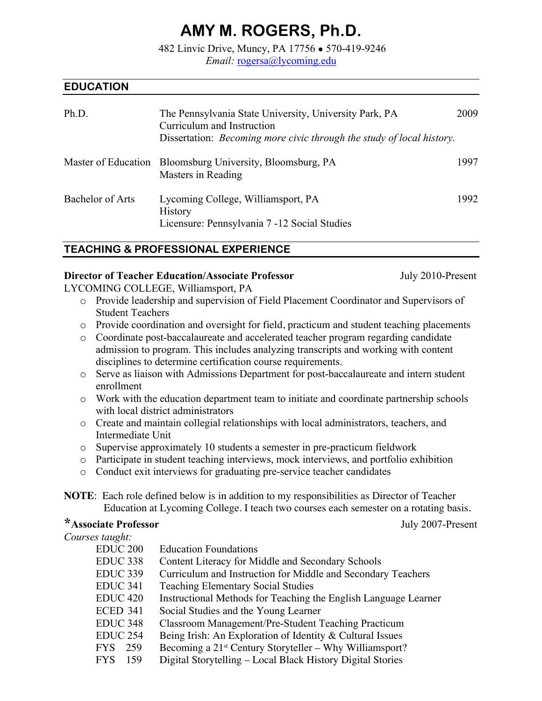# **AMY M. ROGERS, Ph.D.**

482 Linvic Drive, Muncy, PA 17756 **●** 570-419-9246 *Email:* rogersa@lycoming.edu

## **EDUCATION**

| Ph.D.            | The Pennsylvania State University, University Park, PA<br>Curriculum and Instruction<br>Dissertation: <i>Becoming more civic through the study of local history</i> . | 2009 |
|------------------|-----------------------------------------------------------------------------------------------------------------------------------------------------------------------|------|
|                  | Master of Education Bloomsburg University, Bloomsburg, PA<br>Masters in Reading                                                                                       | 1997 |
| Bachelor of Arts | Lycoming College, Williamsport, PA<br><b>History</b><br>Licensure: Pennsylvania 7 -12 Social Studies                                                                  | 1992 |

## **TEACHING & PROFESSIONAL EXPERIENCE**

#### **Director of Teacher Education/Associate Professor** *July 2010-Present*

LYCOMING COLLEGE, Williamsport, PA

- o Provide leadership and supervision of Field Placement Coordinator and Supervisors of Student Teachers
- o Provide coordination and oversight for field, practicum and student teaching placements

o Coordinate post-baccalaureate and accelerated teacher program regarding candidate admission to program. This includes analyzing transcripts and working with content disciplines to determine certification course requirements.

- o Serve as liaison with Admissions Department for post-baccalaureate and intern student enrollment
- o Work with the education department team to initiate and coordinate partnership schools with local district administrators
- o Create and maintain collegial relationships with local administrators, teachers, and Intermediate Unit
- o Supervise approximately 10 students a semester in pre-practicum fieldwork
- o Participate in student teaching interviews, mock interviews, and portfolio exhibition
- o Conduct exit interviews for graduating pre-service teacher candidates

**NOTE**: Each role defined below is in addition to my responsibilities as Director of Teacher Education at Lycoming College. I teach two courses each semester on a rotating basis.

## **\*Associate Professor** July 2007-Present

*Courses taught:*

| <b>EDUC 200</b>     | <b>Education Foundations</b>                                    |
|---------------------|-----------------------------------------------------------------|
| EDUC 338            | Content Literacy for Middle and Secondary Schools               |
| <b>EDUC 339</b>     | Curriculum and Instruction for Middle and Secondary Teachers    |
| <b>EDUC 341</b>     | <b>Teaching Elementary Social Studies</b>                       |
| EDUC 420            | Instructional Methods for Teaching the English Language Learner |
| <b>ECED 341</b>     | Social Studies and the Young Learner                            |
| EDUC 348            | Classroom Management/Pre-Student Teaching Practicum             |
| EDUC <sub>254</sub> | Being Irish: An Exploration of Identity & Cultural Issues       |
| FYS 259             | Becoming a $21^{st}$ Century Storyteller – Why Williamsport?    |
| <b>FYS</b><br>159   | Digital Storytelling – Local Black History Digital Stories      |
|                     |                                                                 |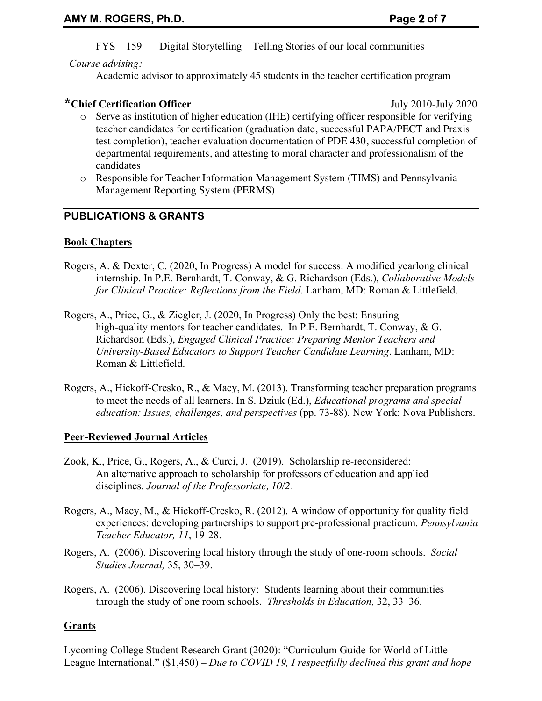## FYS 159 Digital Storytelling – Telling Stories of our local communities

#### *Course advising:*

Academic advisor to approximately 45 students in the teacher certification program

# **\*Chief Certification Officer** July 2010-July 2020

- o Serve as institution of higher education (IHE) certifying officer responsible for verifying teacher candidates for certification (graduation date, successful PAPA/PECT and Praxis test completion), teacher evaluation documentation of PDE 430, successful completion of departmental requirements, and attesting to moral character and professionalism of the candidates
- o Responsible for Teacher Information Management System (TIMS) and Pennsylvania Management Reporting System (PERMS)

## **PUBLICATIONS & GRANTS**

#### **Book Chapters**

- Rogers, A. & Dexter, C. (2020, In Progress) A model for success: A modified yearlong clinical internship. In P.E. Bernhardt, T. Conway, & G. Richardson (Eds.), *Collaborative Models for Clinical Practice: Reflections from the Field*. Lanham, MD: Roman & Littlefield.
- Rogers, A., Price, G., & Ziegler, J. (2020, In Progress) Only the best: Ensuring high-quality mentors for teacher candidates. In P.E. Bernhardt, T. Conway, & G. Richardson (Eds.), *Engaged Clinical Practice: Preparing Mentor Teachers and University-Based Educators to Support Teacher Candidate Learning*. Lanham, MD: Roman & Littlefield.
- Rogers, A., Hickoff-Cresko, R., & Macy, M. (2013). Transforming teacher preparation programs to meet the needs of all learners. In S. Dziuk (Ed.), *Educational programs and special education: Issues, challenges, and perspectives (pp. 73-88). New York: Nova Publishers.*

## **Peer-Reviewed Journal Articles**

- Zook, K., Price, G., Rogers, A., & Curci, J. (2019). Scholarship re-reconsidered: An alternative approach to scholarship for professors of education and applied disciplines. *Journal of the Professoriate, 10/2.*
- Rogers, A., Macy, M., & Hickoff-Cresko, R. (2012). A window of opportunity for quality field experiences: developing partnerships to support pre-professional practicum. *Pennsylvania Teacher Educator, 11*, 19-28.
- Rogers, A. (2006). Discovering local history through the study of one-room schools. *Social Studies Journal,* 35, 30–39.
- Rogers, A. (2006). Discovering local history: Students learning about their communities through the study of one room schools. *Thresholds in Education,* 32, 33–36.

## **Grants**

Lycoming College Student Research Grant (2020): "Curriculum Guide for World of Little League International." (\$1,450) – *Due to COVID 19, I respectfully declined this grant and hope*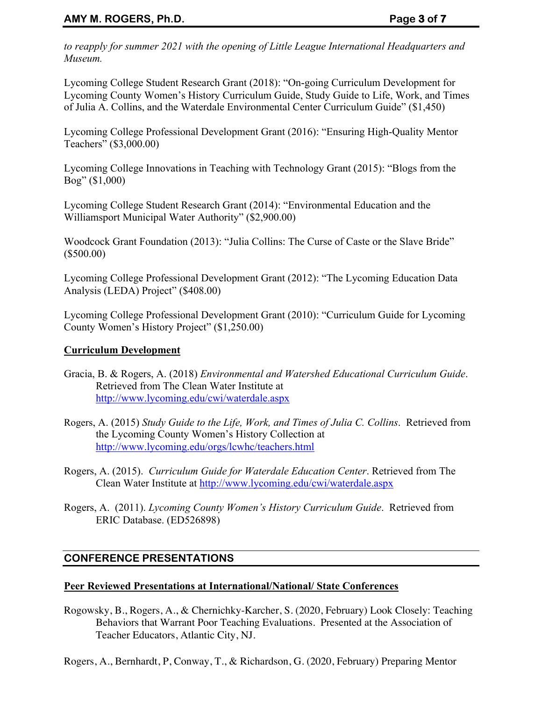*to reapply for summer 2021 with the opening of Little League International Headquarters and Museum.* 

Lycoming College Student Research Grant (2018): "On-going Curriculum Development for Lycoming County Women's History Curriculum Guide, Study Guide to Life, Work, and Times of Julia A. Collins, and the Waterdale Environmental Center Curriculum Guide" (\$1,450)

Lycoming College Professional Development Grant (2016): "Ensuring High-Quality Mentor Teachers" (\$3,000.00)

Lycoming College Innovations in Teaching with Technology Grant (2015): "Blogs from the Bog" (\$1,000)

Lycoming College Student Research Grant (2014): "Environmental Education and the Williamsport Municipal Water Authority" (\$2,900.00)

Woodcock Grant Foundation (2013): "Julia Collins: The Curse of Caste or the Slave Bride" (\$500.00)

Lycoming College Professional Development Grant (2012): "The Lycoming Education Data Analysis (LEDA) Project" (\$408.00)

Lycoming College Professional Development Grant (2010): "Curriculum Guide for Lycoming County Women's History Project" (\$1,250.00)

## **Curriculum Development**

- Gracia, B. & Rogers, A. (2018) *Environmental and Watershed Educational Curriculum Guide*. Retrieved from The Clean Water Institute at http://www.lycoming.edu/cwi/waterdale.aspx
- Rogers, A. (2015) *Study Guide to the Life, Work, and Times of Julia C. Collins*. Retrieved from the Lycoming County Women's History Collection at http://www.lycoming.edu/orgs/lcwhc/teachers.html
- Rogers, A. (2015). *Curriculum Guide for Waterdale Education Center*. Retrieved from The Clean Water Institute at http://www.lycoming.edu/cwi/waterdale.aspx
- Rogers, A. (2011). *Lycoming County Women's History Curriculum Guide*. Retrieved from ERIC Database. (ED526898)

## **CONFERENCE PRESENTATIONS**

## **Peer Reviewed Presentations at International/National/ State Conferences**

Rogowsky, B., Rogers, A., & Chernichky-Karcher, S. (2020, February) Look Closely: Teaching Behaviors that Warrant Poor Teaching Evaluations. Presented at the Association of Teacher Educators, Atlantic City, NJ.

Rogers, A., Bernhardt, P, Conway, T., & Richardson, G. (2020, February) Preparing Mentor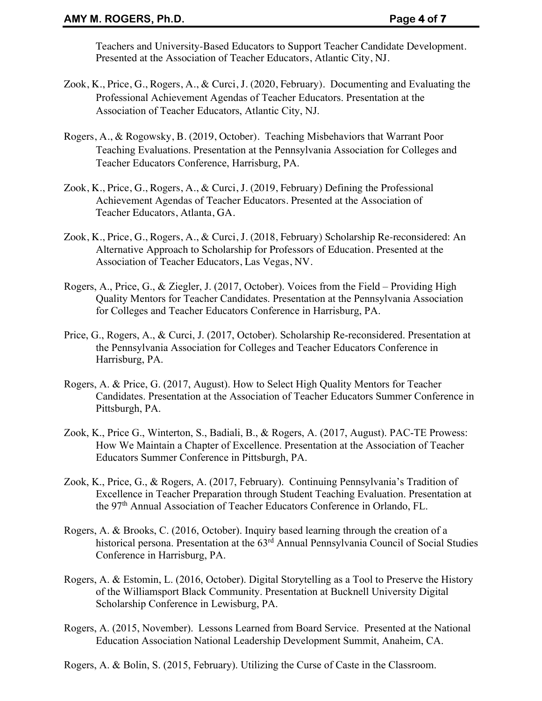Teachers and University-Based Educators to Support Teacher Candidate Development. Presented at the Association of Teacher Educators, Atlantic City, NJ.

- Zook, K., Price, G., Rogers, A., & Curci, J. (2020, February). Documenting and Evaluating the Professional Achievement Agendas of Teacher Educators. Presentation at the Association of Teacher Educators, Atlantic City, NJ.
- Rogers, A., & Rogowsky, B. (2019, October). Teaching Misbehaviors that Warrant Poor Teaching Evaluations. Presentation at the Pennsylvania Association for Colleges and Teacher Educators Conference, Harrisburg, PA.
- Zook, K., Price, G., Rogers, A., & Curci, J. (2019, February) Defining the Professional Achievement Agendas of Teacher Educators. Presented at the Association of Teacher Educators, Atlanta, GA.
- Zook, K., Price, G., Rogers, A., & Curci, J. (2018, February) Scholarship Re-reconsidered: An Alternative Approach to Scholarship for Professors of Education. Presented at the Association of Teacher Educators, Las Vegas, NV.
- Rogers, A., Price, G., & Ziegler, J. (2017, October). Voices from the Field Providing High Quality Mentors for Teacher Candidates. Presentation at the Pennsylvania Association for Colleges and Teacher Educators Conference in Harrisburg, PA.
- Price, G., Rogers, A., & Curci, J. (2017, October). Scholarship Re-reconsidered. Presentation at the Pennsylvania Association for Colleges and Teacher Educators Conference in Harrisburg, PA.
- Rogers, A. & Price, G. (2017, August). How to Select High Quality Mentors for Teacher Candidates. Presentation at the Association of Teacher Educators Summer Conference in Pittsburgh, PA.
- Zook, K., Price G., Winterton, S., Badiali, B., & Rogers, A. (2017, August). PAC-TE Prowess: How We Maintain a Chapter of Excellence. Presentation at the Association of Teacher Educators Summer Conference in Pittsburgh, PA.
- Zook, K., Price, G., & Rogers, A. (2017, February). Continuing Pennsylvania's Tradition of Excellence in Teacher Preparation through Student Teaching Evaluation. Presentation at the 97th Annual Association of Teacher Educators Conference in Orlando, FL.
- Rogers, A. & Brooks, C. (2016, October). Inquiry based learning through the creation of a historical persona. Presentation at the 63<sup>rd</sup> Annual Pennsylvania Council of Social Studies Conference in Harrisburg, PA.
- Rogers, A. & Estomin, L. (2016, October). Digital Storytelling as a Tool to Preserve the History of the Williamsport Black Community. Presentation at Bucknell University Digital Scholarship Conference in Lewisburg, PA.
- Rogers, A. (2015, November). Lessons Learned from Board Service. Presented at the National Education Association National Leadership Development Summit, Anaheim, CA.

Rogers, A. & Bolin, S. (2015, February). Utilizing the Curse of Caste in the Classroom.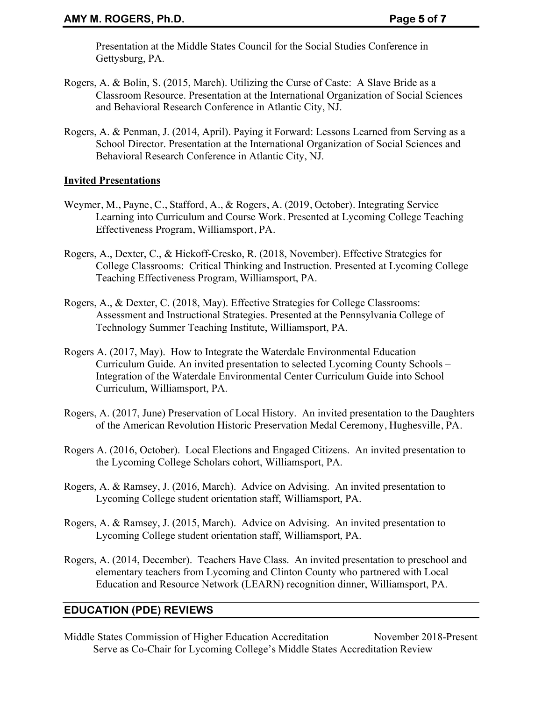Presentation at the Middle States Council for the Social Studies Conference in Gettysburg, PA.

- Rogers, A. & Bolin, S. (2015, March). Utilizing the Curse of Caste: A Slave Bride as a Classroom Resource. Presentation at the International Organization of Social Sciences and Behavioral Research Conference in Atlantic City, NJ.
- Rogers, A. & Penman, J. (2014, April). Paying it Forward: Lessons Learned from Serving as a School Director. Presentation at the International Organization of Social Sciences and Behavioral Research Conference in Atlantic City, NJ.

#### **Invited Presentations**

- Weymer, M., Payne, C., Stafford, A., & Rogers, A. (2019, October). Integrating Service Learning into Curriculum and Course Work. Presented at Lycoming College Teaching Effectiveness Program, Williamsport, PA.
- Rogers, A., Dexter, C., & Hickoff-Cresko, R. (2018, November). Effective Strategies for College Classrooms: Critical Thinking and Instruction. Presented at Lycoming College Teaching Effectiveness Program, Williamsport, PA.
- Rogers, A., & Dexter, C. (2018, May). Effective Strategies for College Classrooms: Assessment and Instructional Strategies. Presented at the Pennsylvania College of Technology Summer Teaching Institute, Williamsport, PA.
- Rogers A. (2017, May). How to Integrate the Waterdale Environmental Education Curriculum Guide. An invited presentation to selected Lycoming County Schools – Integration of the Waterdale Environmental Center Curriculum Guide into School Curriculum, Williamsport, PA.
- Rogers, A. (2017, June) Preservation of Local History. An invited presentation to the Daughters of the American Revolution Historic Preservation Medal Ceremony, Hughesville, PA.
- Rogers A. (2016, October). Local Elections and Engaged Citizens. An invited presentation to the Lycoming College Scholars cohort, Williamsport, PA.
- Rogers, A. & Ramsey, J. (2016, March). Advice on Advising. An invited presentation to Lycoming College student orientation staff, Williamsport, PA.
- Rogers, A. & Ramsey, J. (2015, March). Advice on Advising. An invited presentation to Lycoming College student orientation staff, Williamsport, PA.
- Rogers, A. (2014, December). Teachers Have Class. An invited presentation to preschool and elementary teachers from Lycoming and Clinton County who partnered with Local Education and Resource Network (LEARN) recognition dinner, Williamsport, PA.

## **EDUCATION (PDE) REVIEWS**

Middle States Commission of Higher Education Accreditation November 2018-Present Serve as Co-Chair for Lycoming College's Middle States Accreditation Review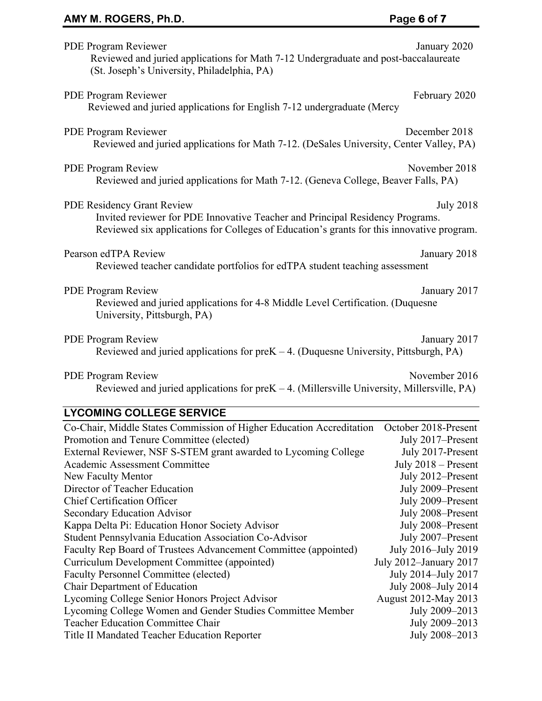# AMY M. ROGERS, Ph.D. **Page 6** of 7

| PDE Program Reviewer<br>Reviewed and juried applications for Math 7-12 Undergraduate and post-baccalaureate<br>(St. Joseph's University, Philadelphia, PA)                                                                          | January 2020          |  |  |  |
|-------------------------------------------------------------------------------------------------------------------------------------------------------------------------------------------------------------------------------------|-----------------------|--|--|--|
| PDE Program Reviewer<br>Reviewed and juried applications for English 7-12 undergraduate (Mercy                                                                                                                                      | February 2020         |  |  |  |
| PDE Program Reviewer<br>Reviewed and juried applications for Math 7-12. (DeSales University, Center Valley, PA)                                                                                                                     | December 2018         |  |  |  |
| November 2018<br><b>PDE Program Review</b><br>Reviewed and juried applications for Math 7-12. (Geneva College, Beaver Falls, PA)                                                                                                    |                       |  |  |  |
| <b>PDE Residency Grant Review</b><br><b>July 2018</b><br>Invited reviewer for PDE Innovative Teacher and Principal Residency Programs.<br>Reviewed six applications for Colleges of Education's grants for this innovative program. |                       |  |  |  |
| Pearson edTPA Review<br>January 2018<br>Reviewed teacher candidate portfolios for edTPA student teaching assessment                                                                                                                 |                       |  |  |  |
| <b>PDE Program Review</b><br>January 2017<br>Reviewed and juried applications for 4-8 Middle Level Certification. (Duquesne<br>University, Pittsburgh, PA)                                                                          |                       |  |  |  |
| <b>PDE Program Review</b><br>January 2017<br>Reviewed and juried applications for $preK - 4$ . (Duquesne University, Pittsburgh, PA)                                                                                                |                       |  |  |  |
| November 2016<br><b>PDE Program Review</b><br>Reviewed and juried applications for preK - 4. (Millersville University, Millersville, PA)                                                                                            |                       |  |  |  |
| <b>LYCOMING COLLEGE SERVICE</b>                                                                                                                                                                                                     |                       |  |  |  |
| Co-Chair, Middle States Commission of Higher Education Accreditation October 2018-Present                                                                                                                                           |                       |  |  |  |
| Promotion and Tenure Committee (elected)                                                                                                                                                                                            | July 2017-Present     |  |  |  |
| External Reviewer, NSF S-STEM grant awarded to Lycoming College                                                                                                                                                                     | July 2017-Present     |  |  |  |
| Academic Assessment Committee                                                                                                                                                                                                       | July $2018$ – Present |  |  |  |
| New Faculty Mentor                                                                                                                                                                                                                  | July 2012-Present     |  |  |  |
| Director of Teacher Education                                                                                                                                                                                                       | July 2009-Present     |  |  |  |
| Chief Certification Officer                                                                                                                                                                                                         | July 2009-Present     |  |  |  |

| Student Pennsylvania Education Association Co-Advisor           | July 2007-Present      |
|-----------------------------------------------------------------|------------------------|
| Faculty Rep Board of Trustees Advancement Committee (appointed) | July 2016-July 2019    |
| Curriculum Development Committee (appointed)                    | July 2012-January 2017 |
| <b>Faculty Personnel Committee (elected)</b>                    | July 2014-July 2017    |
| <b>Chair Department of Education</b>                            | July 2008-July 2014    |
| Lycoming College Senior Honors Project Advisor                  | August 2012-May 2013   |
| Lycoming College Women and Gender Studies Committee Member      | July 2009-2013         |
| <b>Teacher Education Committee Chair</b>                        | July 2009-2013         |
| Title II Mandated Teacher Education Reporter                    | July 2008-2013         |
|                                                                 |                        |

Secondary Education Advisor July 2008–Present Kappa Delta Pi: Education Honor Society Advisor July 2008–Present